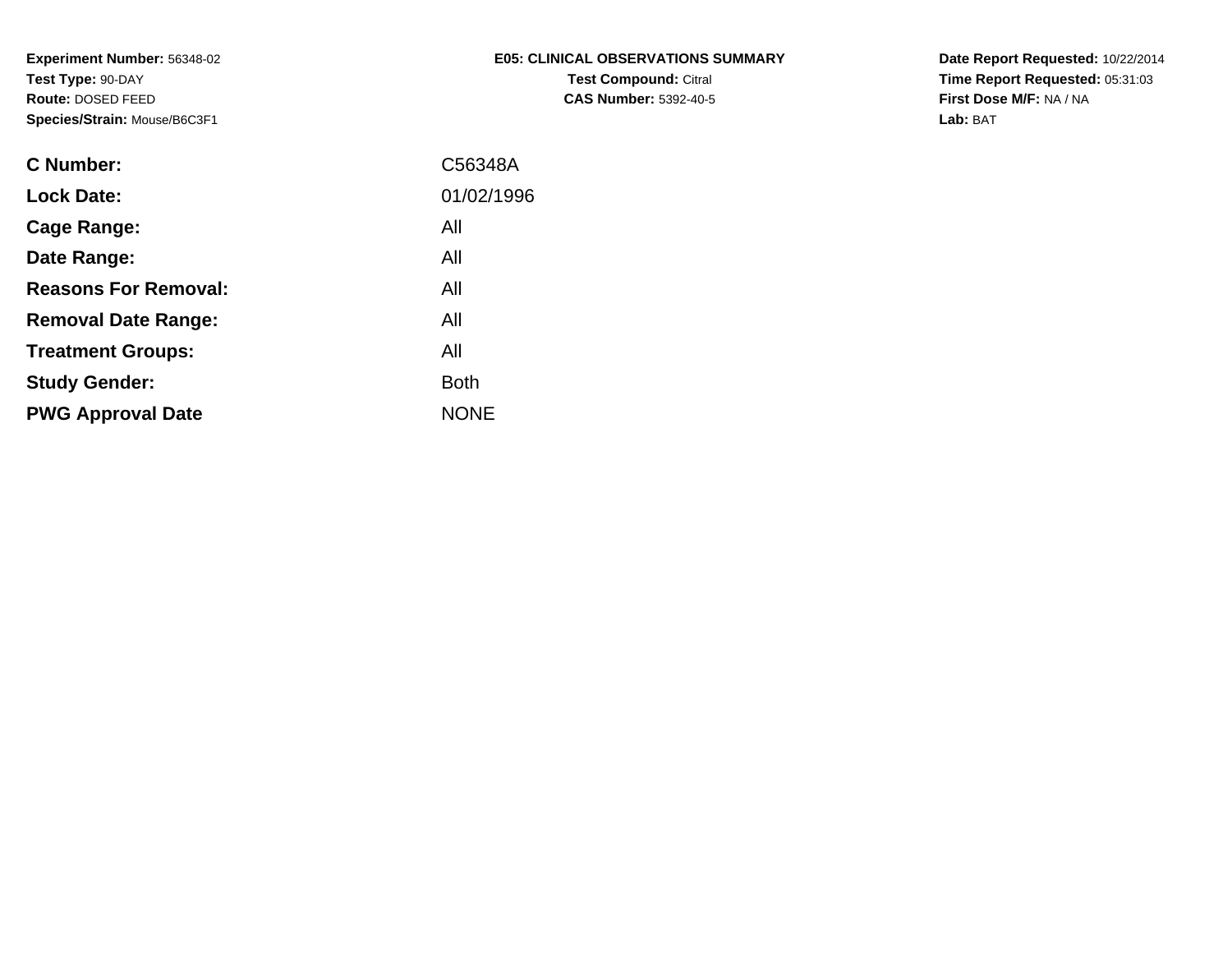| E05: CLINICAL OBSERVATIONS SUMMARY |
|------------------------------------|
| <b>Test Compound: Citral</b>       |
| <b>CAS Number: 5392-40-5</b>       |

**Date Report Requested:** 10/22/2014 **Time Report Requested:** 05:31:03**First Dose M/F:** NA / NA**Lab:** BAT

| C Number:                   | C56348A     |
|-----------------------------|-------------|
| <b>Lock Date:</b>           | 01/02/1996  |
| Cage Range:                 | All         |
| Date Range:                 | All         |
| <b>Reasons For Removal:</b> | All         |
| <b>Removal Date Range:</b>  | All         |
| <b>Treatment Groups:</b>    | All         |
| <b>Study Gender:</b>        | <b>Both</b> |
| <b>PWG Approval Date</b>    | <b>NONE</b> |
|                             |             |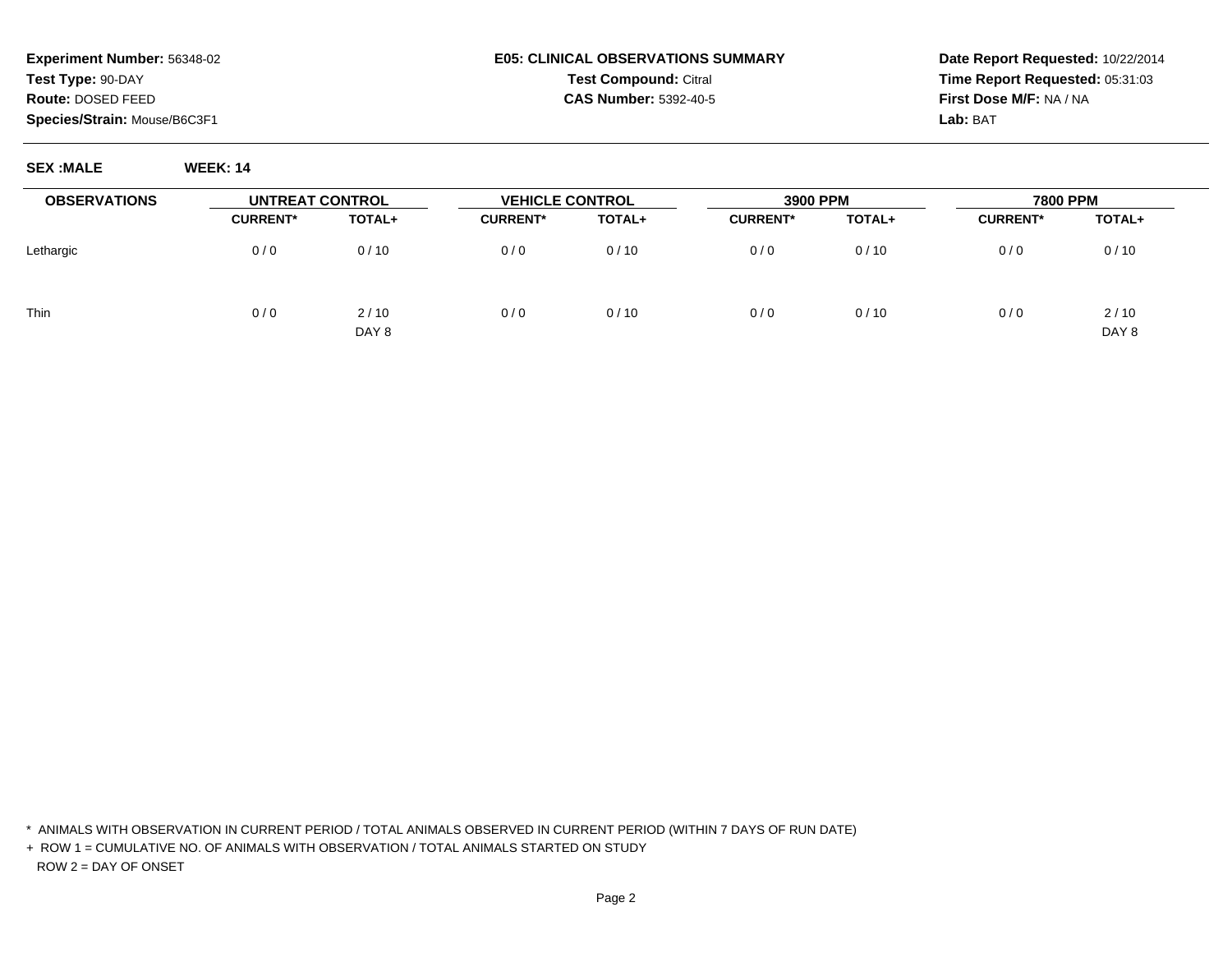#### **E05: CLINICAL OBSERVATIONS SUMMARYTest Compound:** Citral **CAS Number:** 5392-40-5

**Date Report Requested:** 10/22/2014**Time Report Requested:** 05:31:03**First Dose M/F:** NA / NA**Lab:** BAT

**SEX :MALE WEEK: 14**

| <b>OBSERVATIONS</b> | UNTREAT CONTROL |               | <b>VEHICLE CONTROL</b> |        | 3900 PPM        |        | <b>7800 PPM</b> |               |
|---------------------|-----------------|---------------|------------------------|--------|-----------------|--------|-----------------|---------------|
|                     | <b>CURRENT*</b> | TOTAL+        | <b>CURRENT*</b>        | TOTAL+ | <b>CURRENT*</b> | TOTAL+ | <b>CURRENT*</b> | TOTAL+        |
| Lethargic           | 0/0             | 0/10          | 0/0                    | 0/10   | 0/0             | 0/10   | 0/0             | 0/10          |
| <b>Thin</b>         | 0/0             | 2/10<br>DAY 8 | 0/0                    | 0/10   | 0/0             | 0/10   | 0/0             | 2/10<br>DAY 8 |

\* ANIMALS WITH OBSERVATION IN CURRENT PERIOD / TOTAL ANIMALS OBSERVED IN CURRENT PERIOD (WITHIN 7 DAYS OF RUN DATE)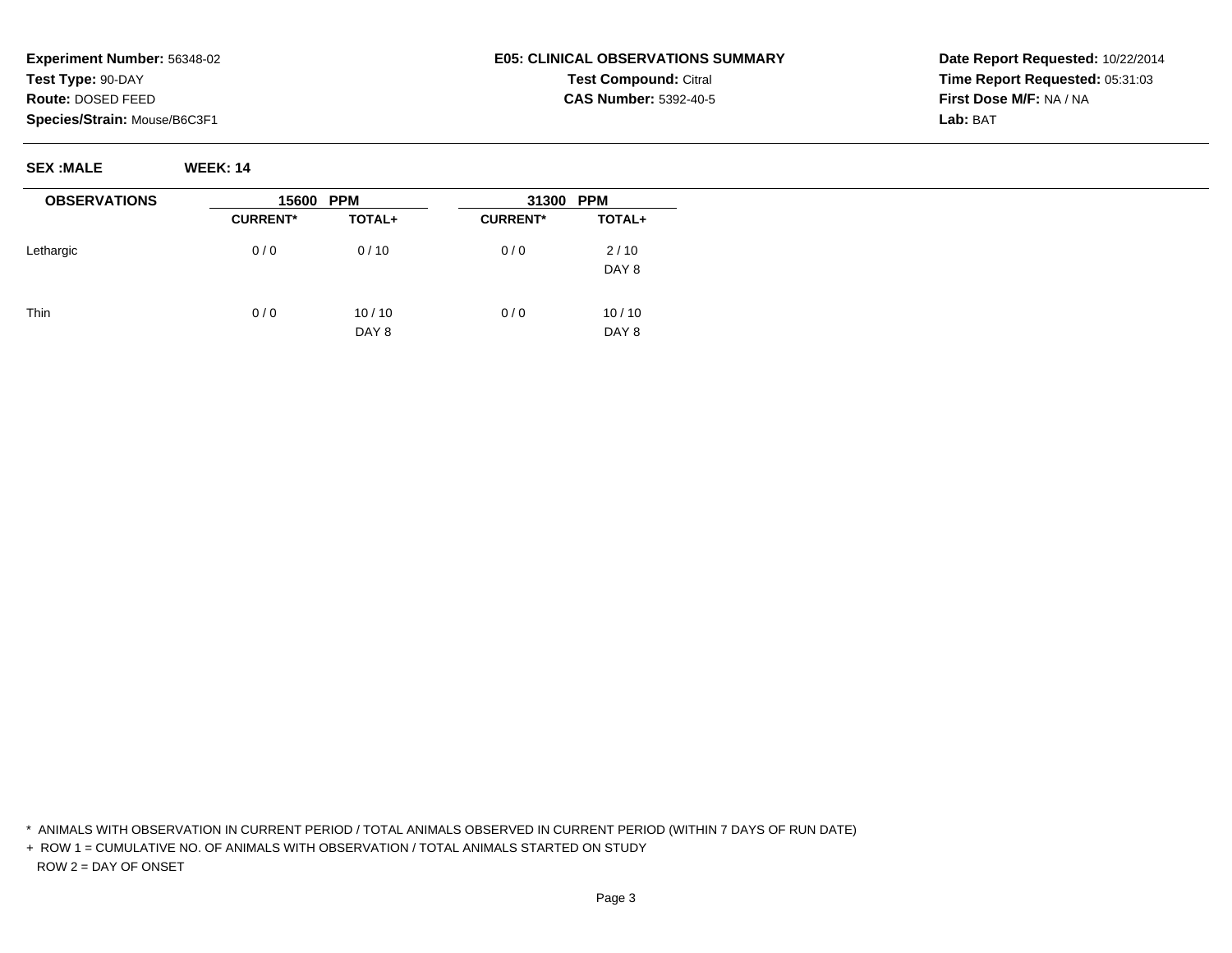# **E05: CLINICAL OBSERVATIONS SUMMARYTest Compound:** Citral **CAS Number:** 5392-40-5

**Date Report Requested:** 10/22/2014**Time Report Requested:** 05:31:03**First Dose M/F:** NA / NA**Lab:** BAT

**SEX :MALE WEEK: 14**

| <b>OBSERVATIONS</b> | 15600           | <b>PPM</b>     | <b>PPM</b><br>31300 |                          |  |
|---------------------|-----------------|----------------|---------------------|--------------------------|--|
|                     | <b>CURRENT*</b> | TOTAL+         | <b>CURRENT*</b>     | TOTAL+                   |  |
| Lethargic           | 0/0             | 0/10           | 0/0                 | 2/10<br>DAY <sub>8</sub> |  |
| Thin                | 0/0             | 10/10<br>DAY 8 | 0/0                 | 10/10<br>DAY 8           |  |

\* ANIMALS WITH OBSERVATION IN CURRENT PERIOD / TOTAL ANIMALS OBSERVED IN CURRENT PERIOD (WITHIN 7 DAYS OF RUN DATE)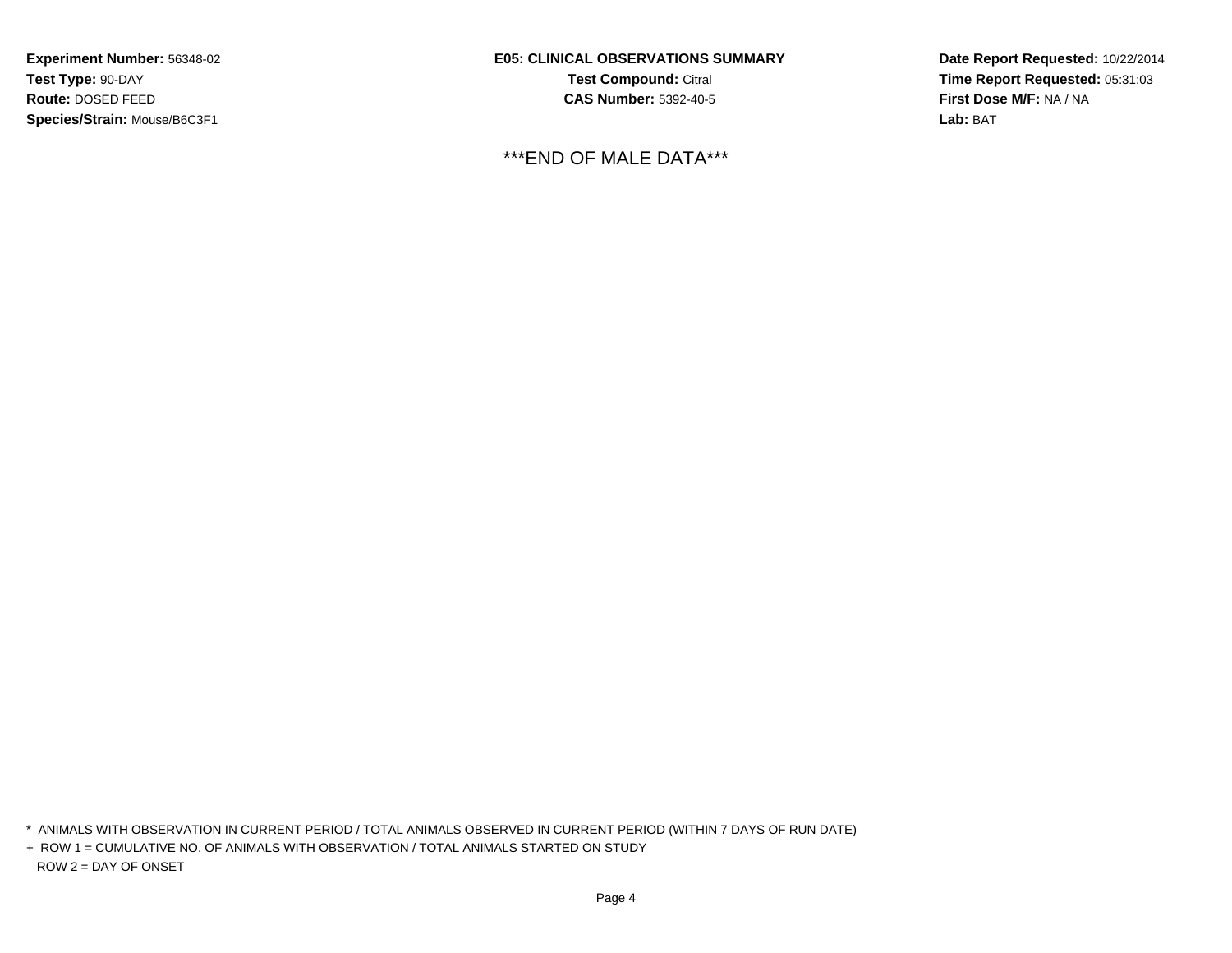**E05: CLINICAL OBSERVATIONS SUMMARYTest Compound:** Citral **CAS Number:** 5392-40-5

\*\*\*END OF MALE DATA\*\*\*

**Date Report Requested:** 10/22/2014**Time Report Requested:** 05:31:03**First Dose M/F:** NA / NA**Lab:** BAT

\* ANIMALS WITH OBSERVATION IN CURRENT PERIOD / TOTAL ANIMALS OBSERVED IN CURRENT PERIOD (WITHIN 7 DAYS OF RUN DATE)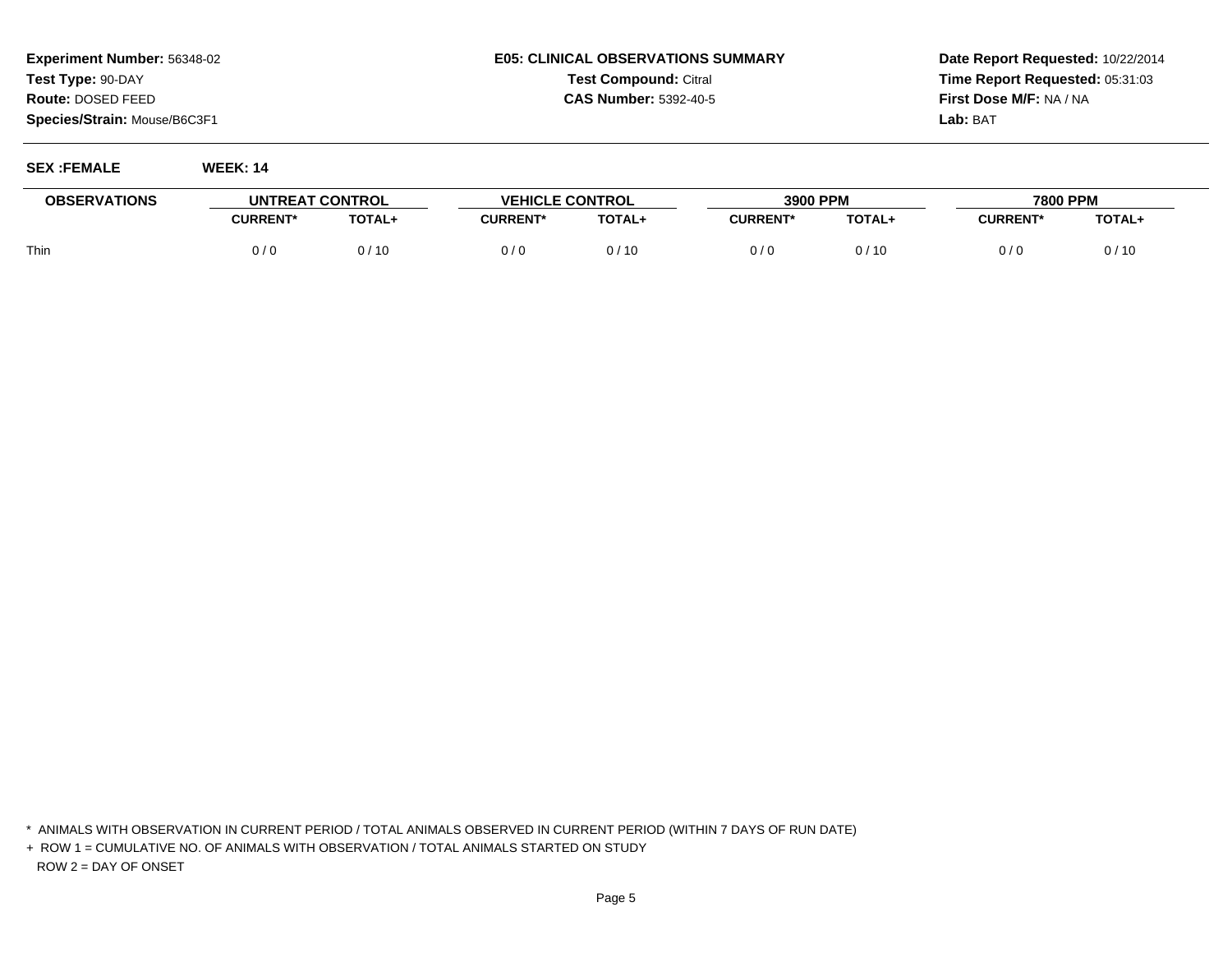# **E05: CLINICAL OBSERVATIONS SUMMARYTest Compound:** Citral **CAS Number:** 5392-40-5

**Date Report Requested:** 10/22/2014**Time Report Requested:** 05:31:03**First Dose M/F:** NA / NA**Lab:** BAT

| <b>SEX:FEMALE</b> | <b>WEEK: 14</b> |  |
|-------------------|-----------------|--|
|                   |                 |  |

| <b>OBSERVATIONS</b> | UNTREAT CONTROL |        | <b>VEHICLE CONTROL</b> |               | 3900 PPM       |        | 7800 PPM        |        |
|---------------------|-----------------|--------|------------------------|---------------|----------------|--------|-----------------|--------|
|                     | <b>CURRENT*</b> | TOTAL+ | <b>CURRENT*</b>        | <b>TOTAL+</b> | $\sf{CURRENT}$ | TOTAL+ | <b>CURRENT*</b> | TOTAL+ |
| Thin                | 0/6             | 0/10   | 0/0                    | /10           | 0 / C          |        | 0 / C           | 0/10   |

\* ANIMALS WITH OBSERVATION IN CURRENT PERIOD / TOTAL ANIMALS OBSERVED IN CURRENT PERIOD (WITHIN 7 DAYS OF RUN DATE)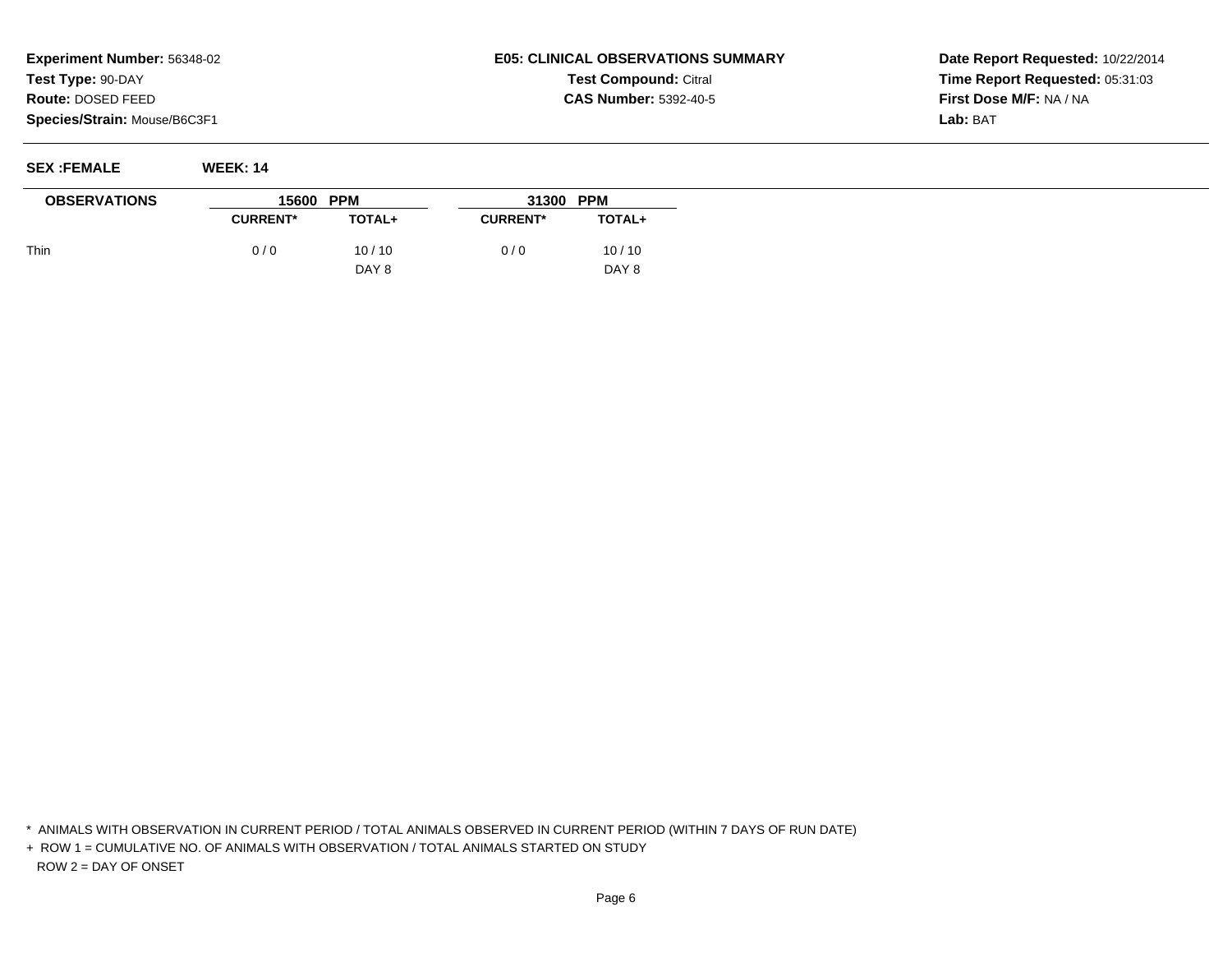# **E05: CLINICAL OBSERVATIONS SUMMARYTest Compound:** Citral **CAS Number:** 5392-40-5

**Date Report Requested:** 10/22/2014**Time Report Requested:** 05:31:03**First Dose M/F:** NA / NA**Lab:** BAT

**SEX :FEMALE WEEK: 14**

| <b>OBSERVATIONS</b> | 15600 PPM       |               | 31300           | <b>PPM</b>    |
|---------------------|-----------------|---------------|-----------------|---------------|
|                     | <b>CURRENT*</b> | <b>TOTAL+</b> | <b>CURRENT*</b> | <b>TOTAL+</b> |
| Thin                | 0/0             | 10/10         | 0/0             | 10/10         |
|                     |                 | DAY 8         |                 | DAY 8         |

\* ANIMALS WITH OBSERVATION IN CURRENT PERIOD / TOTAL ANIMALS OBSERVED IN CURRENT PERIOD (WITHIN 7 DAYS OF RUN DATE)